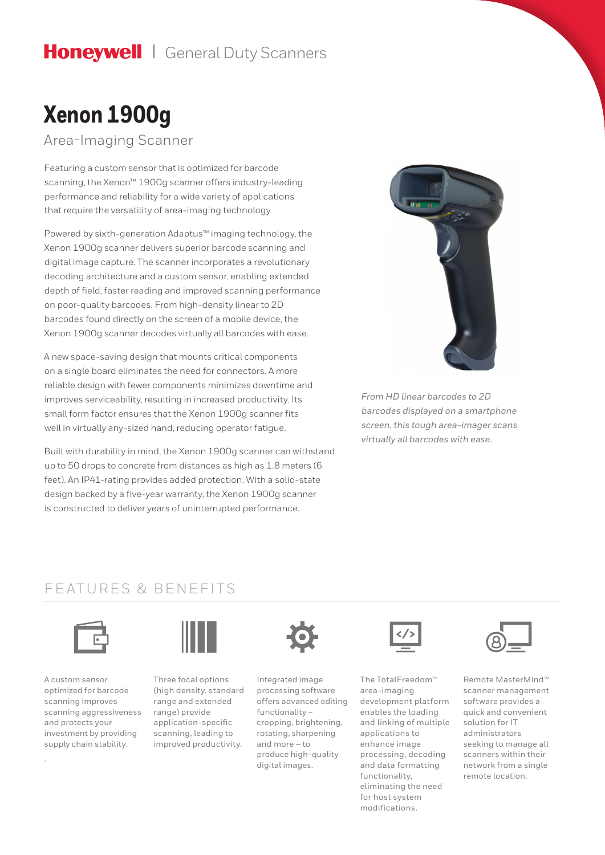## Honeywell | General Duty Scanners

# **Xenon 1900g**

Area-Imaging Scanner

Featuring a custom sensor that is optimized for barcode scanning, the Xenon™ 1900g scanner offers industry-leading performance and reliability for a wide variety of applications that require the versatility of area-imaging technology.

Powered by sixth-generation Adaptus™ imaging technology, the Xenon 1900g scanner delivers superior barcode scanning and digital image capture. The scanner incorporates a revolutionary decoding architecture and a custom sensor, enabling extended depth of field, faster reading and improved scanning performance on poor-quality barcodes. From high-density linear to 2D barcodes found directly on the screen of a mobile device, the Xenon 1900g scanner decodes virtually all barcodes with ease.

A new space-saving design that mounts critical components on a single board eliminates the need for connectors. A more reliable design with fewer components minimizes downtime and improves serviceability, resulting in increased productivity. Its small form factor ensures that the Xenon 1900g scanner fits well in virtually any-sized hand, reducing operator fatigue.

Built with durability in mind, the Xenon 1900g scanner can withstand up to 50 drops to concrete from distances as high as 1.8 meters (6 feet). An IP41-rating provides added protection. With a solid-state design backed by a five-year warranty, the Xenon 1900g scanner is constructed to deliver years of uninterrupted performance.



*From HD linear barcodes to 2D barcodes displayed on a smartphone screen, this tough area-imager scans virtually all barcodes with ease.*

### FEATURES & BENEFITS



A custom sensor optimized for barcode scanning improves scanning aggressiveness and protects your investment by providing supply chain stability.

.



Three focal options (high density, standard range and extended range) provide application-specific scanning, leading to improved productivity.



Integrated image processing software offers advanced editing functionality – cropping, brightening, rotating, sharpening and more – to produce high-quality digital images.



The TotalFreedom™ area-imaging development platform enables the loading and linking of multiple applications to enhance image processing, decoding and data formatting functionality, eliminating the need for host system modifications.



Remote MasterMind™ scanner management software provides a quick and convenient solution for IT administrators seeking to manage all scanners within their network from a single remote location.